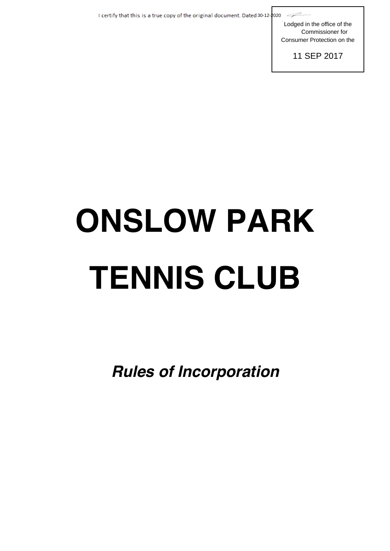I certify that this is a true copy of the original document. Dated 30-12-2020

Lodged in the office of the Commissioner for Consumer Protection on the

11 SEP 2017

# **ONSLOW PARK TENNIS CLUB**

*Rules of Incorporation*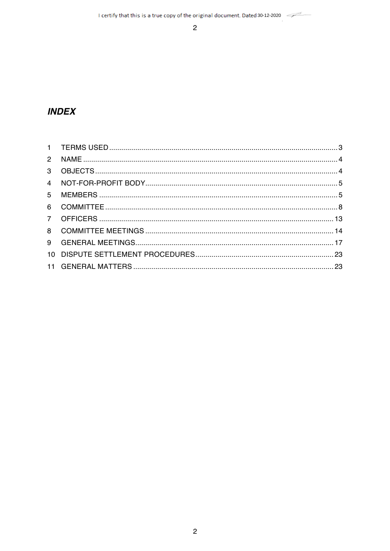$\overline{2}$ 

# **INDEX**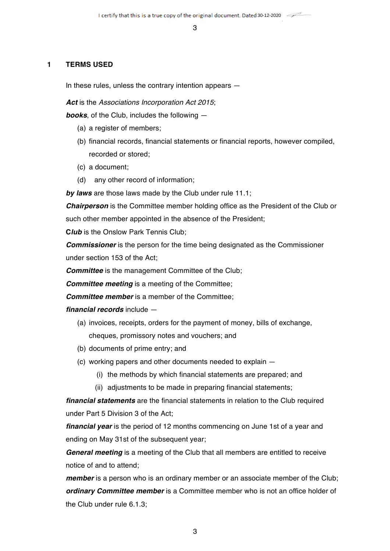#### **1 TERMS USED**

In these rules, unless the contrary intention appears —

*Act* is the *Associations Incorporation Act 2015*;

*books*, of the Club, includes the following —

- (a) a register of members;
- (b) financial records, financial statements or financial reports, however compiled, recorded or stored;
- (c) a document;
- (d) any other record of information;

*by laws* are those laws made by the Club under rule 11.1;

*Chairperson* is the Committee member holding office as the President of the Club or such other member appointed in the absence of the President:

**C***lub* is the Onslow Park Tennis Club;

*Commissioner* is the person for the time being designated as the Commissioner under section 153 of the Act;

*Committee* is the management Committee of the Club;

*Committee meeting* is a meeting of the Committee;

*Committee member* is a member of the Committee;

*financial records* include —

- (a) invoices, receipts, orders for the payment of money, bills of exchange, cheques, promissory notes and vouchers; and
- (b) documents of prime entry; and
- (c) working papers and other documents needed to explain
	- (i) the methods by which financial statements are prepared; and
	- (ii) adjustments to be made in preparing financial statements;

*financial statements* are the financial statements in relation to the Club required under Part 5 Division 3 of the Act;

*financial year* is the period of 12 months commencing on June 1st of a year and ending on May 31st of the subsequent year;

*General meeting* is a meeting of the Club that all members are entitled to receive notice of and to attend;

*member* is a person who is an ordinary member or an associate member of the Club; *ordinary Committee member* is a Committee member who is not an office holder of the Club under rule 6.1.3;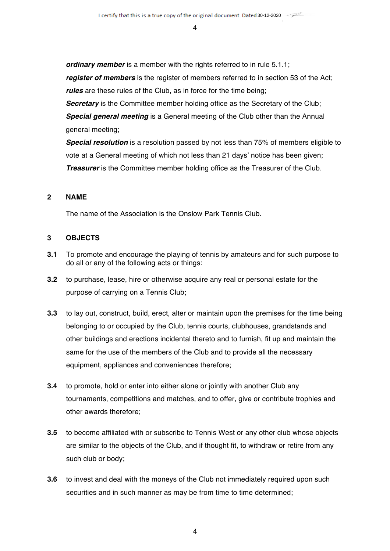*ordinary member* is a member with the rights referred to in rule 5.1.1; *register of members* is the register of members referred to in section 53 of the Act; *rules* are these rules of the Club, as in force for the time being;

**Secretary** is the Committee member holding office as the Secretary of the Club; *Special general meeting* is a General meeting of the Club other than the Annual general meeting;

*Special resolution* is a resolution passed by not less than 75% of members eligible to vote at a General meeting of which not less than 21 days' notice has been given; *Treasurer* is the Committee member holding office as the Treasurer of the Club.

# **2 NAME**

The name of the Association is the Onslow Park Tennis Club.

# **3 OBJECTS**

- **3.1** To promote and encourage the playing of tennis by amateurs and for such purpose to do all or any of the following acts or things:
- **3.2** to purchase, lease, hire or otherwise acquire any real or personal estate for the purpose of carrying on a Tennis Club;
- **3.3** to lay out, construct, build, erect, alter or maintain upon the premises for the time being belonging to or occupied by the Club, tennis courts, clubhouses, grandstands and other buildings and erections incidental thereto and to furnish, fit up and maintain the same for the use of the members of the Club and to provide all the necessary equipment, appliances and conveniences therefore;
- **3.4** to promote, hold or enter into either alone or jointly with another Club any tournaments, competitions and matches, and to offer, give or contribute trophies and other awards therefore;
- **3.5** to become affiliated with or subscribe to Tennis West or any other club whose objects are similar to the objects of the Club, and if thought fit, to withdraw or retire from any such club or body;
- **3.6** to invest and deal with the moneys of the Club not immediately required upon such securities and in such manner as may be from time to time determined;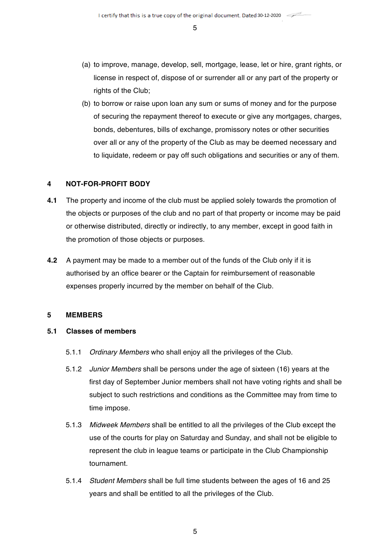- (a) to improve, manage, develop, sell, mortgage, lease, let or hire, grant rights, or license in respect of, dispose of or surrender all or any part of the property or rights of the Club:
- (b) to borrow or raise upon loan any sum or sums of money and for the purpose of securing the repayment thereof to execute or give any mortgages, charges, bonds, debentures, bills of exchange, promissory notes or other securities over all or any of the property of the Club as may be deemed necessary and to liquidate, redeem or pay off such obligations and securities or any of them.

# **4 NOT-FOR-PROFIT BODY**

- **4.1** The property and income of the club must be applied solely towards the promotion of the objects or purposes of the club and no part of that property or income may be paid or otherwise distributed, directly or indirectly, to any member, except in good faith in the promotion of those objects or purposes.
- **4.2** A payment may be made to a member out of the funds of the Club only if it is authorised by an office bearer or the Captain for reimbursement of reasonable expenses properly incurred by the member on behalf of the Club.

# **5 MEMBERS**

# **5.1 Classes of members**

- 5.1.1 *Ordinary Members* who shall enjoy all the privileges of the Club.
- 5.1.2 *Junior Members* shall be persons under the age of sixteen (16) years at the first day of September Junior members shall not have voting rights and shall be subject to such restrictions and conditions as the Committee may from time to time impose.
- 5.1.3 *Midweek Members* shall be entitled to all the privileges of the Club except the use of the courts for play on Saturday and Sunday, and shall not be eligible to represent the club in league teams or participate in the Club Championship tournament.
- 5.1.4 *Student Members* shall be full time students between the ages of 16 and 25 years and shall be entitled to all the privileges of the Club.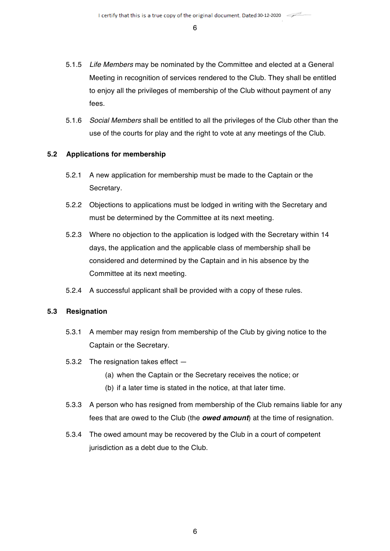- 5.1.5 *Life Members* may be nominated by the Committee and elected at a General Meeting in recognition of services rendered to the Club. They shall be entitled to enjoy all the privileges of membership of the Club without payment of any fees.
- 5.1.6 *Social Members* shall be entitled to all the privileges of the Club other than the use of the courts for play and the right to vote at any meetings of the Club.

# **5.2 Applications for membership**

- 5.2.1 A new application for membership must be made to the Captain or the Secretary.
- 5.2.2 Objections to applications must be lodged in writing with the Secretary and must be determined by the Committee at its next meeting.
- 5.2.3 Where no objection to the application is lodged with the Secretary within 14 days, the application and the applicable class of membership shall be considered and determined by the Captain and in his absence by the Committee at its next meeting.
- 5.2.4 A successful applicant shall be provided with a copy of these rules.

#### **5.3 Resignation**

- 5.3.1 A member may resign from membership of the Club by giving notice to the Captain or the Secretary.
- 5.3.2 The resignation takes effect
	- (a) when the Captain or the Secretary receives the notice; or
	- (b) if a later time is stated in the notice, at that later time.
- 5.3.3 A person who has resigned from membership of the Club remains liable for any fees that are owed to the Club (the *owed amount*) at the time of resignation.
- 5.3.4 The owed amount may be recovered by the Club in a court of competent jurisdiction as a debt due to the Club.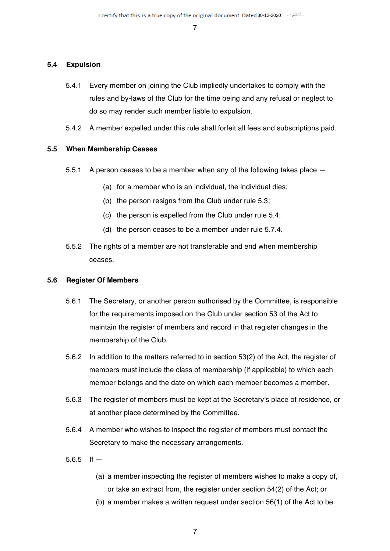#### **5.4 Expulsion**

- 5.4.1 Every member on joining the Club impliedly undertakes to comply with the rules and by-laws of the Club for the time being and any refusal or neglect to do so may render such member liable to expulsion.
- 5.4.2 A member expelled under this rule shall forfeit all fees and subscriptions paid.

#### **5.5 When Membership Ceases**

- 5.5.1 A person ceases to be a member when any of the following takes place
	- (a) for a member who is an individual, the individual dies;
	- (b) the person resigns from the Club under rule 5.3;
	- (c) the person is expelled from the Club under rule 5.4;
	- (d) the person ceases to be a member under rule 5.7.4.
- 5.5.2 The rights of a member are not transferable and end when membership ceases.

#### **5.6 Register Of Members**

- 5.6.1 The Secretary, or another person authorised by the Committee, is responsible for the requirements imposed on the Club under section 53 of the Act to maintain the register of members and record in that register changes in the membership of the Club.
- 5.6.2 In addition to the matters referred to in section 53(2) of the Act, the register of members must include the class of membership (if applicable) to which each member belongs and the date on which each member becomes a member.
- 5.6.3 The register of members must be kept at the Secretary's place of residence, or at another place determined by the Committee.
- 5.6.4 A member who wishes to inspect the register of members must contact the Secretary to make the necessary arrangements.
- 5.6.5 If  $-$ 
	- (a) a member inspecting the register of members wishes to make a copy of, or take an extract from, the register under section 54(2) of the Act; or
	- (b) a member makes a written request under section 56(1) of the Act to be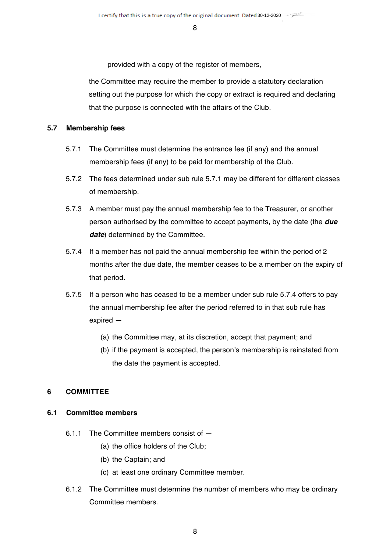provided with a copy of the register of members,

the Committee may require the member to provide a statutory declaration setting out the purpose for which the copy or extract is required and declaring that the purpose is connected with the affairs of the Club.

#### **5.7 Membership fees**

- 5.7.1 The Committee must determine the entrance fee (if any) and the annual membership fees (if any) to be paid for membership of the Club.
- 5.7.2 The fees determined under sub rule 5.7.1 may be different for different classes of membership.
- 5.7.3 A member must pay the annual membership fee to the Treasurer, or another person authorised by the committee to accept payments, by the date (the *due*  date) determined by the Committee.
- 5.7.4 If a member has not paid the annual membership fee within the period of 2 months after the due date, the member ceases to be a member on the expiry of that period.
- 5.7.5 If a person who has ceased to be a member under sub rule 5.7.4 offers to pay the annual membership fee after the period referred to in that sub rule has expired —
	- (a) the Committee may, at its discretion, accept that payment; and
	- (b) if the payment is accepted, the person's membership is reinstated from the date the payment is accepted.

# **6 COMMITTEE**

# **6.1 Committee members**

- 6.1.1 The Committee members consist of
	- (a) the office holders of the Club;
	- (b) the Captain; and
	- (c) at least one ordinary Committee member.
- 6.1.2 The Committee must determine the number of members who may be ordinary Committee members.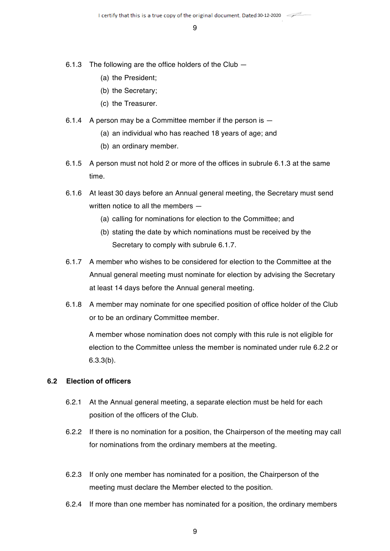- 6.1.3 The following are the office holders of the Club
	- (a) the President;
	- (b) the Secretary;
	- (c) the Treasurer.
- 6.1.4 A person may be a Committee member if the person is
	- (a) an individual who has reached 18 years of age; and
	- (b) an ordinary member.
- 6.1.5 A person must not hold 2 or more of the offices in subrule 6.1.3 at the same time.
- 6.1.6 At least 30 days before an Annual general meeting, the Secretary must send written notice to all the members —
	- (a) calling for nominations for election to the Committee; and
	- (b) stating the date by which nominations must be received by the Secretary to comply with subrule 6.1.7.
- 6.1.7 A member who wishes to be considered for election to the Committee at the Annual general meeting must nominate for election by advising the Secretary at least 14 days before the Annual general meeting.
- 6.1.8 A member may nominate for one specified position of office holder of the Club or to be an ordinary Committee member.

A member whose nomination does not comply with this rule is not eligible for election to the Committee unless the member is nominated under rule 6.2.2 or 6.3.3(b).

#### **6.2 Election of officers**

- 6.2.1 At the Annual general meeting, a separate election must be held for each position of the officers of the Club.
- 6.2.2 If there is no nomination for a position, the Chairperson of the meeting may call for nominations from the ordinary members at the meeting.
- 6.2.3 If only one member has nominated for a position, the Chairperson of the meeting must declare the Member elected to the position.
- 6.2.4 If more than one member has nominated for a position, the ordinary members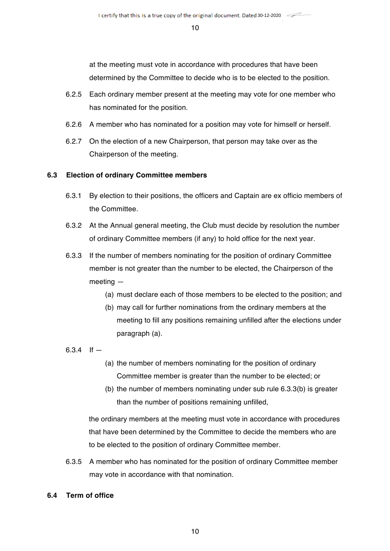at the meeting must vote in accordance with procedures that have been determined by the Committee to decide who is to be elected to the position.

- 6.2.5 Each ordinary member present at the meeting may vote for one member who has nominated for the position.
- 6.2.6 A member who has nominated for a position may vote for himself or herself.
- 6.2.7 On the election of a new Chairperson, that person may take over as the Chairperson of the meeting.

# **6.3 Election of ordinary Committee members**

- 6.3.1 By election to their positions, the officers and Captain are ex officio members of the Committee.
- 6.3.2 At the Annual general meeting, the Club must decide by resolution the number of ordinary Committee members (if any) to hold office for the next year.
- 6.3.3 If the number of members nominating for the position of ordinary Committee member is not greater than the number to be elected, the Chairperson of the meeting —
	- (a) must declare each of those members to be elected to the position; and
	- (b) may call for further nominations from the ordinary members at the meeting to fill any positions remaining unfilled after the elections under paragraph (a).

# 6.3.4 If  $-$

- (a) the number of members nominating for the position of ordinary Committee member is greater than the number to be elected; or
- (b) the number of members nominating under sub rule 6.3.3(b) is greater than the number of positions remaining unfilled,

the ordinary members at the meeting must vote in accordance with procedures that have been determined by the Committee to decide the members who are to be elected to the position of ordinary Committee member.

6.3.5 A member who has nominated for the position of ordinary Committee member may vote in accordance with that nomination.

# **6.4 Term of office**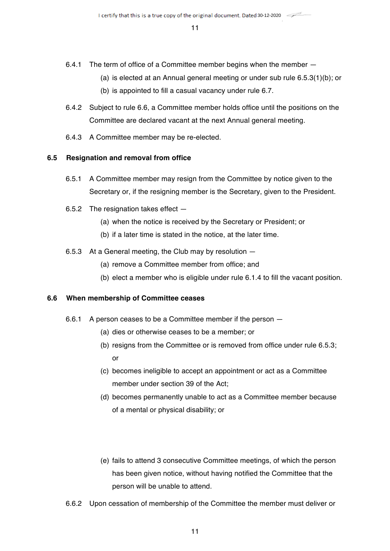- 6.4.1 The term of office of a Committee member begins when the member -
	- (a) is elected at an Annual general meeting or under sub rule 6.5.3(1)(b); or
	- (b) is appointed to fill a casual vacancy under rule 6.7.
- 6.4.2 Subject to rule 6.6, a Committee member holds office until the positions on the Committee are declared vacant at the next Annual general meeting.
- 6.4.3 A Committee member may be re-elected.

#### **6.5 Resignation and removal from office**

- 6.5.1 A Committee member may resign from the Committee by notice given to the Secretary or, if the resigning member is the Secretary, given to the President.
- 6.5.2 The resignation takes effect
	- (a) when the notice is received by the Secretary or President; or
	- (b) if a later time is stated in the notice, at the later time.
- 6.5.3 At a General meeting, the Club may by resolution
	- (a) remove a Committee member from office; and
	- (b) elect a member who is eligible under rule 6.1.4 to fill the vacant position.

#### **6.6 When membership of Committee ceases**

- 6.6.1 A person ceases to be a Committee member if the person
	- (a) dies or otherwise ceases to be a member; or
	- (b) resigns from the Committee or is removed from office under rule 6.5.3; or
	- (c) becomes ineligible to accept an appointment or act as a Committee member under section 39 of the Act;
	- (d) becomes permanently unable to act as a Committee member because of a mental or physical disability; or
	- (e) fails to attend 3 consecutive Committee meetings, of which the person has been given notice, without having notified the Committee that the person will be unable to attend.
- 6.6.2 Upon cessation of membership of the Committee the member must deliver or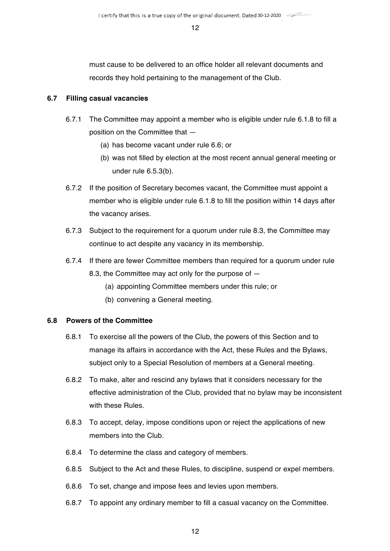must cause to be delivered to an office holder all relevant documents and records they hold pertaining to the management of the Club.

# **6.7 Filling casual vacancies**

- 6.7.1 The Committee may appoint a member who is eligible under rule 6.1.8 to fill a position on the Committee that —
	- (a) has become vacant under rule 6.6; or
	- (b) was not filled by election at the most recent annual general meeting or under rule 6.5.3(b).
- 6.7.2 If the position of Secretary becomes vacant, the Committee must appoint a member who is eligible under rule 6.1.8 to fill the position within 14 days after the vacancy arises.
- 6.7.3 Subject to the requirement for a quorum under rule 8.3, the Committee may continue to act despite any vacancy in its membership.
- 6.7.4 If there are fewer Committee members than required for a quorum under rule 8.3, the Committee may act only for the purpose of —
	- (a) appointing Committee members under this rule; or
	- (b) convening a General meeting.

# **6.8 Powers of the Committee**

- 6.8.1 To exercise all the powers of the Club, the powers of this Section and to manage its affairs in accordance with the Act, these Rules and the Bylaws, subject only to a Special Resolution of members at a General meeting.
- 6.8.2 To make, alter and rescind any bylaws that it considers necessary for the effective administration of the Club, provided that no bylaw may be inconsistent with these Rules.
- 6.8.3 To accept, delay, impose conditions upon or reject the applications of new members into the Club.
- 6.8.4 To determine the class and category of members.
- 6.8.5 Subject to the Act and these Rules, to discipline, suspend or expel members.
- 6.8.6 To set, change and impose fees and levies upon members.
- 6.8.7 To appoint any ordinary member to fill a casual vacancy on the Committee.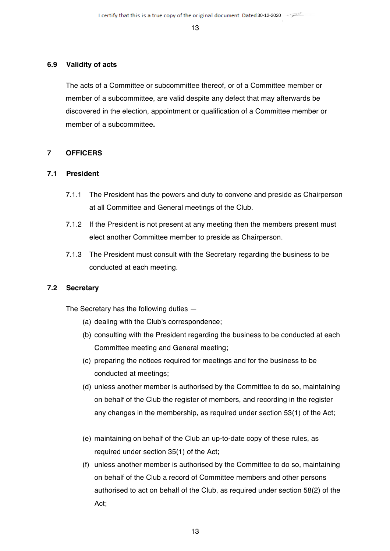#### **6.9 Validity of acts**

The acts of a Committee or subcommittee thereof, or of a Committee member or member of a subcommittee, are valid despite any defect that may afterwards be discovered in the election, appointment or qualification of a Committee member or member of a subcommittee**.**

# **7 OFFICERS**

# **7.1 President**

- 7.1.1 The President has the powers and duty to convene and preside as Chairperson at all Committee and General meetings of the Club.
- 7.1.2 If the President is not present at any meeting then the members present must elect another Committee member to preside as Chairperson.
- 7.1.3 The President must consult with the Secretary regarding the business to be conducted at each meeting.

# **7.2 Secretary**

The Secretary has the following duties —

- (a) dealing with the Club's correspondence;
- (b) consulting with the President regarding the business to be conducted at each Committee meeting and General meeting;
- (c) preparing the notices required for meetings and for the business to be conducted at meetings;
- (d) unless another member is authorised by the Committee to do so, maintaining on behalf of the Club the register of members, and recording in the register any changes in the membership, as required under section 53(1) of the Act;
- (e) maintaining on behalf of the Club an up-to-date copy of these rules, as required under section 35(1) of the Act;
- (f) unless another member is authorised by the Committee to do so, maintaining on behalf of the Club a record of Committee members and other persons authorised to act on behalf of the Club, as required under section 58(2) of the Act;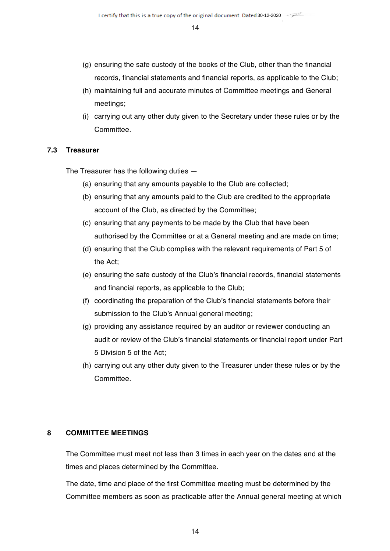- (g) ensuring the safe custody of the books of the Club, other than the financial records, financial statements and financial reports, as applicable to the Club;
- (h) maintaining full and accurate minutes of Committee meetings and General meetings;
- (i) carrying out any other duty given to the Secretary under these rules or by the **Committee**

#### **7.3 Treasurer**

The Treasurer has the following duties —

- (a) ensuring that any amounts payable to the Club are collected;
- (b) ensuring that any amounts paid to the Club are credited to the appropriate account of the Club, as directed by the Committee;
- (c) ensuring that any payments to be made by the Club that have been authorised by the Committee or at a General meeting and are made on time;
- (d) ensuring that the Club complies with the relevant requirements of Part 5 of the Act;
- (e) ensuring the safe custody of the Club's financial records, financial statements and financial reports, as applicable to the Club;
- (f) coordinating the preparation of the Club's financial statements before their submission to the Club's Annual general meeting;
- (g) providing any assistance required by an auditor or reviewer conducting an audit or review of the Club's financial statements or financial report under Part 5 Division 5 of the Act;
- (h) carrying out any other duty given to the Treasurer under these rules or by the Committee.

# **8 COMMITTEE MEETINGS**

The Committee must meet not less than 3 times in each year on the dates and at the times and places determined by the Committee.

The date, time and place of the first Committee meeting must be determined by the Committee members as soon as practicable after the Annual general meeting at which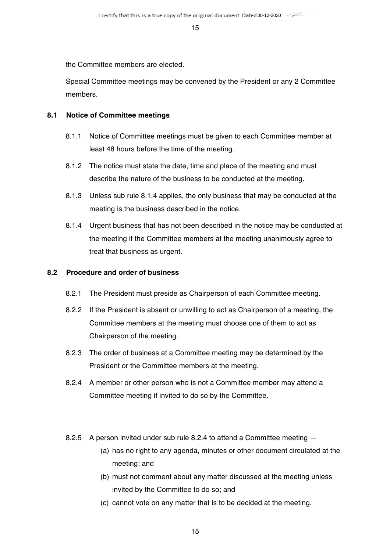the Committee members are elected.

Special Committee meetings may be convened by the President or any 2 Committee members.

# **8.1 Notice of Committee meetings**

- 8.1.1 Notice of Committee meetings must be given to each Committee member at least 48 hours before the time of the meeting.
- 8.1.2 The notice must state the date, time and place of the meeting and must describe the nature of the business to be conducted at the meeting.
- 8.1.3 Unless sub rule 8.1.4 applies, the only business that may be conducted at the meeting is the business described in the notice.
- 8.1.4 Urgent business that has not been described in the notice may be conducted at the meeting if the Committee members at the meeting unanimously agree to treat that business as urgent.

#### **8.2 Procedure and order of business**

- 8.2.1 The President must preside as Chairperson of each Committee meeting.
- 8.2.2 If the President is absent or unwilling to act as Chairperson of a meeting, the Committee members at the meeting must choose one of them to act as Chairperson of the meeting.
- 8.2.3 The order of business at a Committee meeting may be determined by the President or the Committee members at the meeting.
- 8.2.4 A member or other person who is not a Committee member may attend a Committee meeting if invited to do so by the Committee.
- 8.2.5 A person invited under sub rule 8.2.4 to attend a Committee meeting
	- (a) has no right to any agenda, minutes or other document circulated at the meeting; and
	- (b) must not comment about any matter discussed at the meeting unless invited by the Committee to do so; and
	- (c) cannot vote on any matter that is to be decided at the meeting.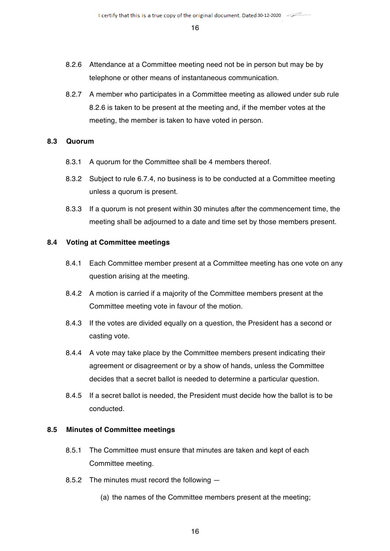- 8.2.6 Attendance at a Committee meeting need not be in person but may be by telephone or other means of instantaneous communication.
- 8.2.7 A member who participates in a Committee meeting as allowed under sub rule 8.2.6 is taken to be present at the meeting and, if the member votes at the meeting, the member is taken to have voted in person.

# **8.3 Quorum**

- 8.3.1 A quorum for the Committee shall be 4 members thereof.
- 8.3.2 Subject to rule 6.7.4, no business is to be conducted at a Committee meeting unless a quorum is present.
- 8.3.3 If a quorum is not present within 30 minutes after the commencement time, the meeting shall be adjourned to a date and time set by those members present.

# **8.4 Voting at Committee meetings**

- 8.4.1 Each Committee member present at a Committee meeting has one vote on any question arising at the meeting.
- 8.4.2 A motion is carried if a majority of the Committee members present at the Committee meeting vote in favour of the motion.
- 8.4.3 If the votes are divided equally on a question, the President has a second or casting vote.
- 8.4.4 A vote may take place by the Committee members present indicating their agreement or disagreement or by a show of hands, unless the Committee decides that a secret ballot is needed to determine a particular question.
- 8.4.5 If a secret ballot is needed, the President must decide how the ballot is to be conducted.

# **8.5 Minutes of Committee meetings**

- 8.5.1 The Committee must ensure that minutes are taken and kept of each Committee meeting.
- 8.5.2 The minutes must record the following
	- (a) the names of the Committee members present at the meeting;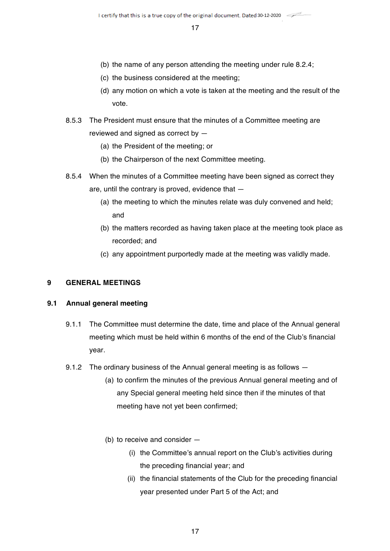- (b) the name of any person attending the meeting under rule 8.2.4;
- (c) the business considered at the meeting;
- (d) any motion on which a vote is taken at the meeting and the result of the vote.
- 8.5.3 The President must ensure that the minutes of a Committee meeting are reviewed and signed as correct by —
	- (a) the President of the meeting; or
	- (b) the Chairperson of the next Committee meeting.
- 8.5.4 When the minutes of a Committee meeting have been signed as correct they are, until the contrary is proved, evidence that —
	- (a) the meeting to which the minutes relate was duly convened and held; and
	- (b) the matters recorded as having taken place at the meeting took place as recorded; and
	- (c) any appointment purportedly made at the meeting was validly made.

# **9 GENERAL MEETINGS**

#### **9.1 Annual general meeting**

- 9.1.1 The Committee must determine the date, time and place of the Annual general meeting which must be held within 6 months of the end of the Club's financial year.
- 9.1.2 The ordinary business of the Annual general meeting is as follows
	- (a) to confirm the minutes of the previous Annual general meeting and of any Special general meeting held since then if the minutes of that meeting have not yet been confirmed;
	- (b) to receive and consider
		- (i) the Committee's annual report on the Club's activities during the preceding financial year; and
		- (ii) the financial statements of the Club for the preceding financial year presented under Part 5 of the Act; and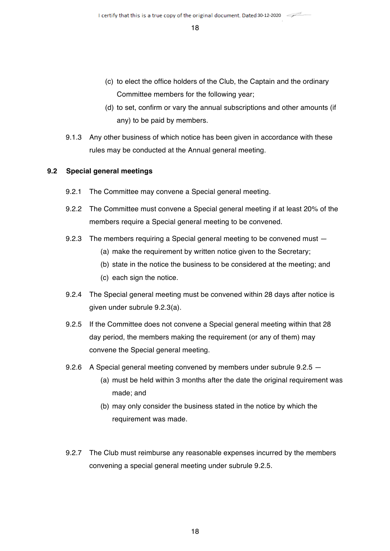- (c) to elect the office holders of the Club, the Captain and the ordinary Committee members for the following year;
- (d) to set, confirm or vary the annual subscriptions and other amounts (if any) to be paid by members.
- 9.1.3 Any other business of which notice has been given in accordance with these rules may be conducted at the Annual general meeting.

# **9.2 Special general meetings**

- 9.2.1 The Committee may convene a Special general meeting.
- 9.2.2 The Committee must convene a Special general meeting if at least 20% of the members require a Special general meeting to be convened.
- 9.2.3 The members requiring a Special general meeting to be convened must
	- (a) make the requirement by written notice given to the Secretary;
	- (b) state in the notice the business to be considered at the meeting; and
	- (c) each sign the notice.
- 9.2.4 The Special general meeting must be convened within 28 days after notice is given under subrule 9.2.3(a).
- 9.2.5 If the Committee does not convene a Special general meeting within that 28 day period, the members making the requirement (or any of them) may convene the Special general meeting.
- 9.2.6 A Special general meeting convened by members under subrule 9.2.5
	- (a) must be held within 3 months after the date the original requirement was made; and
	- (b) may only consider the business stated in the notice by which the requirement was made.
- 9.2.7 The Club must reimburse any reasonable expenses incurred by the members convening a special general meeting under subrule 9.2.5.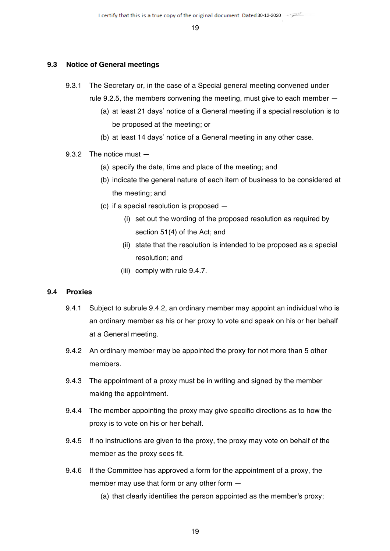#### **9.3 Notice of General meetings**

- 9.3.1 The Secretary or, in the case of a Special general meeting convened under rule 9.2.5, the members convening the meeting, must give to each member —
	- (a) at least 21 days' notice of a General meeting if a special resolution is to be proposed at the meeting; or
	- (b) at least 14 days' notice of a General meeting in any other case.

#### 9.3.2 The notice must —

- (a) specify the date, time and place of the meeting; and
- (b) indicate the general nature of each item of business to be considered at the meeting; and
- (c) if a special resolution is proposed
	- (i) set out the wording of the proposed resolution as required by section 51(4) of the Act; and
	- (ii) state that the resolution is intended to be proposed as a special resolution; and
	- (iii) comply with rule 9.4.7.

#### **9.4 Proxies**

- 9.4.1 Subject to subrule 9.4.2, an ordinary member may appoint an individual who is an ordinary member as his or her proxy to vote and speak on his or her behalf at a General meeting.
- 9.4.2 An ordinary member may be appointed the proxy for not more than 5 other members.
- 9.4.3 The appointment of a proxy must be in writing and signed by the member making the appointment.
- 9.4.4 The member appointing the proxy may give specific directions as to how the proxy is to vote on his or her behalf.
- 9.4.5 If no instructions are given to the proxy, the proxy may vote on behalf of the member as the proxy sees fit.
- 9.4.6 If the Committee has approved a form for the appointment of a proxy, the member may use that form or any other form —
	- (a) that clearly identifies the person appointed as the member's proxy;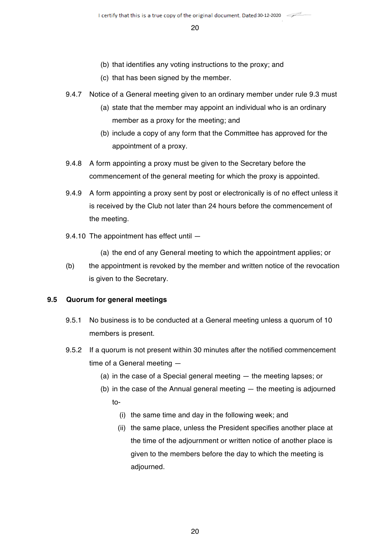- (b) that identifies any voting instructions to the proxy; and
- (c) that has been signed by the member.
- 9.4.7 Notice of a General meeting given to an ordinary member under rule 9.3 must
	- (a) state that the member may appoint an individual who is an ordinary member as a proxy for the meeting; and
	- (b) include a copy of any form that the Committee has approved for the appointment of a proxy.
- 9.4.8 A form appointing a proxy must be given to the Secretary before the commencement of the general meeting for which the proxy is appointed.
- 9.4.9 A form appointing a proxy sent by post or electronically is of no effect unless it is received by the Club not later than 24 hours before the commencement of the meeting.
- 9.4.10 The appointment has effect until —

(a) the end of any General meeting to which the appointment applies; or

(b) the appointment is revoked by the member and written notice of the revocation is given to the Secretary.

# **9.5 Quorum for general meetings**

- 9.5.1 No business is to be conducted at a General meeting unless a quorum of 10 members is present.
- 9.5.2 If a quorum is not present within 30 minutes after the notified commencement time of a General meeting —
	- (a) in the case of a Special general meeting the meeting lapses; or
	- (b) in the case of the Annual general meeting the meeting is adjourned to-
		- (i) the same time and day in the following week; and
		- (ii) the same place, unless the President specifies another place at the time of the adjournment or written notice of another place is given to the members before the day to which the meeting is adjourned.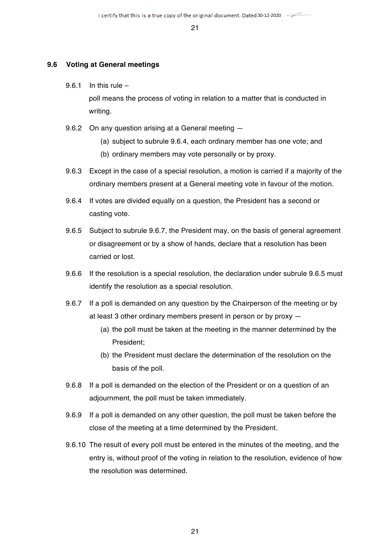#### **9.6 Voting at General meetings**

9.6.1 In this rule –

poll means the process of voting in relation to a matter that is conducted in writing.

- 9.6.2 On any question arising at a General meeting
	- (a) subject to subrule 9.6.4, each ordinary member has one vote; and
	- (b) ordinary members may vote personally or by proxy.
- 9.6.3 Except in the case of a special resolution, a motion is carried if a majority of the ordinary members present at a General meeting vote in favour of the motion.
- 9.6.4 If votes are divided equally on a question, the President has a second or casting vote.
- 9.6.5 Subject to subrule 9.6.7, the President may, on the basis of general agreement or disagreement or by a show of hands, declare that a resolution has been carried or lost.
- 9.6.6 If the resolution is a special resolution, the declaration under subrule 9.6.5 must identify the resolution as a special resolution.
- 9.6.7 If a poll is demanded on any question by the Chairperson of the meeting or by at least 3 other ordinary members present in person or by proxy —
	- (a) the poll must be taken at the meeting in the manner determined by the President;
	- (b) the President must declare the determination of the resolution on the basis of the poll.
- 9.6.8 If a poll is demanded on the election of the President or on a question of an adjournment, the poll must be taken immediately.
- 9.6.9 If a poll is demanded on any other question, the poll must be taken before the close of the meeting at a time determined by the President.
- 9.6.10 The result of every poll must be entered in the minutes of the meeting, and the entry is, without proof of the voting in relation to the resolution, evidence of how the resolution was determined.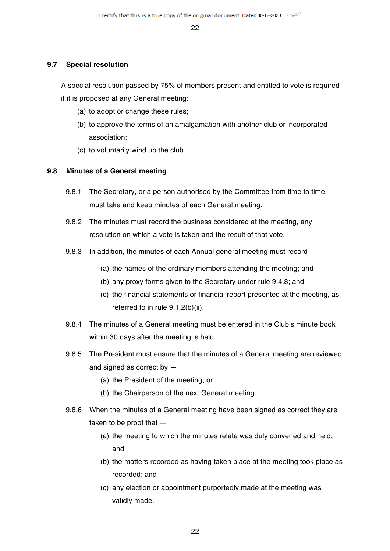#### **9.7 Special resolution**

A special resolution passed by 75% of members present and entitled to vote is required if it is proposed at any General meeting:

- (a) to adopt or change these rules;
- (b) to approve the terms of an amalgamation with another club or incorporated association;
- (c) to voluntarily wind up the club.

#### **9.8 Minutes of a General meeting**

- 9.8.1 The Secretary, or a person authorised by the Committee from time to time, must take and keep minutes of each General meeting.
- 9.8.2 The minutes must record the business considered at the meeting, any resolution on which a vote is taken and the result of that vote.
- 9.8.3 In addition, the minutes of each Annual general meeting must record -
	- (a) the names of the ordinary members attending the meeting; and
	- (b) any proxy forms given to the Secretary under rule 9.4.8; and
	- (c) the financial statements or financial report presented at the meeting, as referred to in rule 9.1.2(b)(ii).
- 9.8.4 The minutes of a General meeting must be entered in the Club's minute book within 30 days after the meeting is held.
- 9.8.5 The President must ensure that the minutes of a General meeting are reviewed and signed as correct by —
	- (a) the President of the meeting; or
	- (b) the Chairperson of the next General meeting.
- 9.8.6 When the minutes of a General meeting have been signed as correct they are taken to be proof that —
	- (a) the meeting to which the minutes relate was duly convened and held; and
	- (b) the matters recorded as having taken place at the meeting took place as recorded; and
	- (c) any election or appointment purportedly made at the meeting was validly made.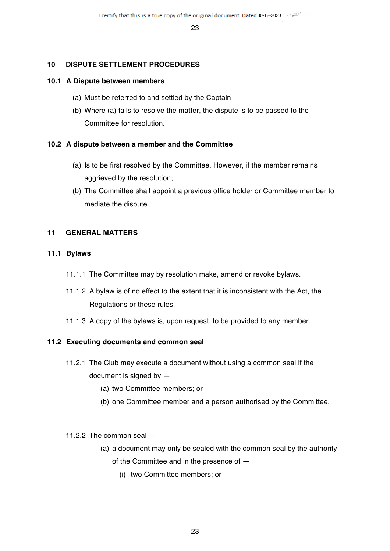#### **10 DISPUTE SETTLEMENT PROCEDURES**

#### **10.1 A Dispute between members**

- (a) Must be referred to and settled by the Captain
- (b) Where (a) fails to resolve the matter, the dispute is to be passed to the Committee for resolution.

#### **10.2 A dispute between a member and the Committee**

- (a) Is to be first resolved by the Committee. However, if the member remains aggrieved by the resolution;
- (b) The Committee shall appoint a previous office holder or Committee member to mediate the dispute.

#### **11 GENERAL MATTERS**

#### **11.1 Bylaws**

- 11.1.1 The Committee may by resolution make, amend or revoke bylaws.
- 11.1.2 A bylaw is of no effect to the extent that it is inconsistent with the Act, the Regulations or these rules.
- 11.1.3 A copy of the bylaws is, upon request, to be provided to any member.

#### **11.2 Executing documents and common seal**

- 11.2.1 The Club may execute a document without using a common seal if the document is signed by —
	- (a) two Committee members; or
	- (b) one Committee member and a person authorised by the Committee.

#### 11.2.2 The common seal —

- (a) a document may only be sealed with the common seal by the authority of the Committee and in the presence of —
	- (i) two Committee members; or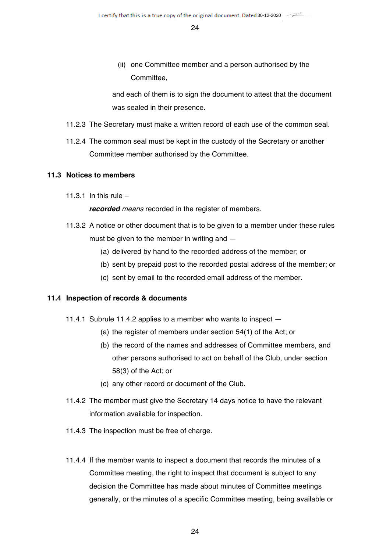(ii) one Committee member and a person authorised by the **Committee** 

and each of them is to sign the document to attest that the document was sealed in their presence.

- 11.2.3 The Secretary must make a written record of each use of the common seal.
- 11.2.4 The common seal must be kept in the custody of the Secretary or another Committee member authorised by the Committee.

#### **11.3 Notices to members**

11.3.1 In this rule  $-$ 

*recorded means* recorded in the register of members.

- 11.3.2 A notice or other document that is to be given to a member under these rules must be given to the member in writing and —
	- (a) delivered by hand to the recorded address of the member; or
	- (b) sent by prepaid post to the recorded postal address of the member; or
	- (c) sent by email to the recorded email address of the member.

# **11.4 Inspection of records & documents**

- 11.4.1 Subrule 11.4.2 applies to a member who wants to inspect
	- (a) the register of members under section 54(1) of the Act; or
	- (b) the record of the names and addresses of Committee members, and other persons authorised to act on behalf of the Club, under section 58(3) of the Act; or
	- (c) any other record or document of the Club.
- 11.4.2 The member must give the Secretary 14 days notice to have the relevant information available for inspection.
- 11.4.3 The inspection must be free of charge.
- 11.4.4 If the member wants to inspect a document that records the minutes of a Committee meeting, the right to inspect that document is subject to any decision the Committee has made about minutes of Committee meetings generally, or the minutes of a specific Committee meeting, being available or